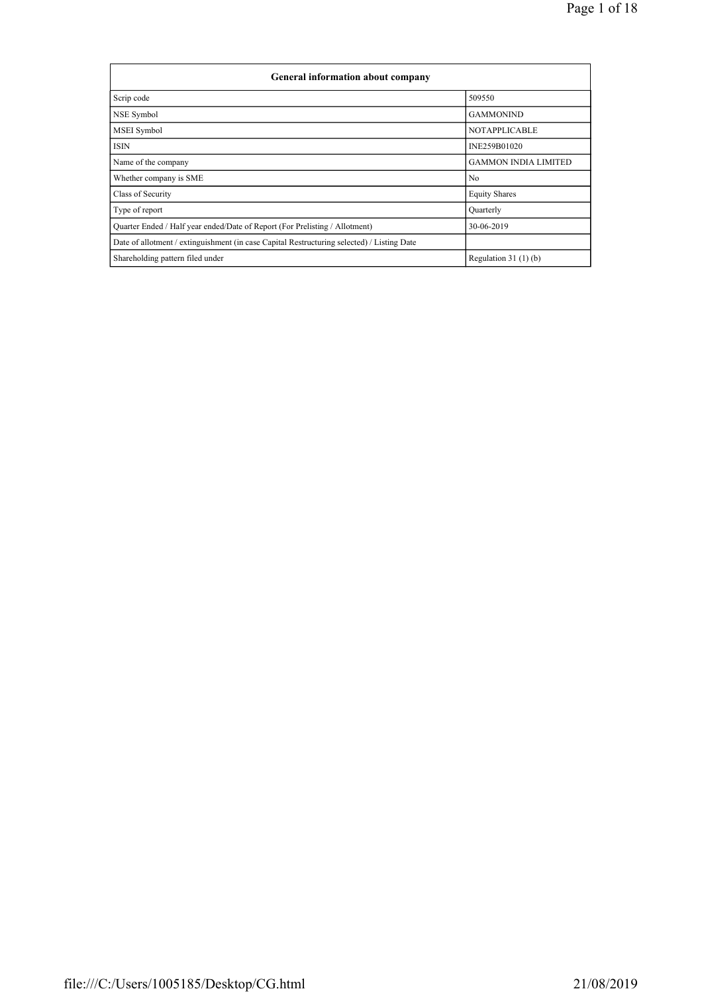| General information about company                                                          |                             |  |  |  |  |  |
|--------------------------------------------------------------------------------------------|-----------------------------|--|--|--|--|--|
| Scrip code                                                                                 | 509550                      |  |  |  |  |  |
| NSE Symbol                                                                                 | <b>GAMMONIND</b>            |  |  |  |  |  |
| <b>MSEI</b> Symbol                                                                         | <b>NOTAPPLICABLE</b>        |  |  |  |  |  |
| <b>ISIN</b>                                                                                | INE259B01020                |  |  |  |  |  |
| Name of the company                                                                        | <b>GAMMON INDIA LIMITED</b> |  |  |  |  |  |
| Whether company is SME                                                                     | N <sub>0</sub>              |  |  |  |  |  |
| Class of Security                                                                          | <b>Equity Shares</b>        |  |  |  |  |  |
| Type of report                                                                             | Quarterly                   |  |  |  |  |  |
| Quarter Ended / Half year ended/Date of Report (For Prelisting / Allotment)                | 30-06-2019                  |  |  |  |  |  |
| Date of allotment / extinguishment (in case Capital Restructuring selected) / Listing Date |                             |  |  |  |  |  |
| Shareholding pattern filed under                                                           | Regulation $31(1)(b)$       |  |  |  |  |  |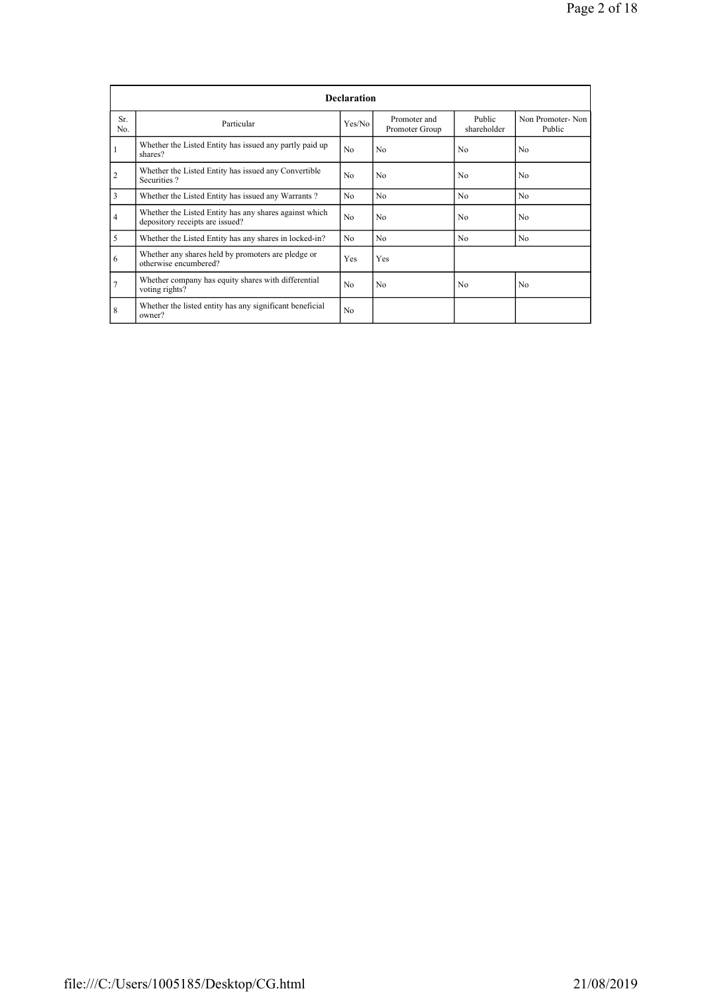|                | <b>Declaration</b>                                                                        |                |                                |                       |                            |  |  |  |  |
|----------------|-------------------------------------------------------------------------------------------|----------------|--------------------------------|-----------------------|----------------------------|--|--|--|--|
| Sr.<br>No.     | Particular                                                                                | Yes/No         | Promoter and<br>Promoter Group | Public<br>shareholder | Non Promoter-Non<br>Public |  |  |  |  |
|                | Whether the Listed Entity has issued any partly paid up<br>shares?                        | N <sub>0</sub> | N <sub>0</sub>                 | No                    | No                         |  |  |  |  |
| $\overline{2}$ | Whether the Listed Entity has issued any Convertible<br>Securities?                       | No             | N <sub>0</sub>                 | No                    | N <sub>0</sub>             |  |  |  |  |
| 3              | Whether the Listed Entity has issued any Warrants?                                        | N <sub>0</sub> | N <sub>0</sub>                 | N <sub>0</sub>        | N <sub>0</sub>             |  |  |  |  |
| $\overline{4}$ | Whether the Listed Entity has any shares against which<br>depository receipts are issued? | No             | N <sub>0</sub>                 | N <sub>0</sub>        | No                         |  |  |  |  |
| 5              | Whether the Listed Entity has any shares in locked-in?                                    | N <sub>0</sub> | N <sub>0</sub>                 | No                    | N <sub>0</sub>             |  |  |  |  |
| 6              | Whether any shares held by promoters are pledge or<br>otherwise encumbered?               | Yes            | Yes                            |                       |                            |  |  |  |  |
| $\overline{7}$ | Whether company has equity shares with differential<br>voting rights?                     | No.            | N <sub>0</sub>                 | No                    | N <sub>0</sub>             |  |  |  |  |
| 8              | Whether the listed entity has any significant beneficial<br>owner?                        | No             |                                |                       |                            |  |  |  |  |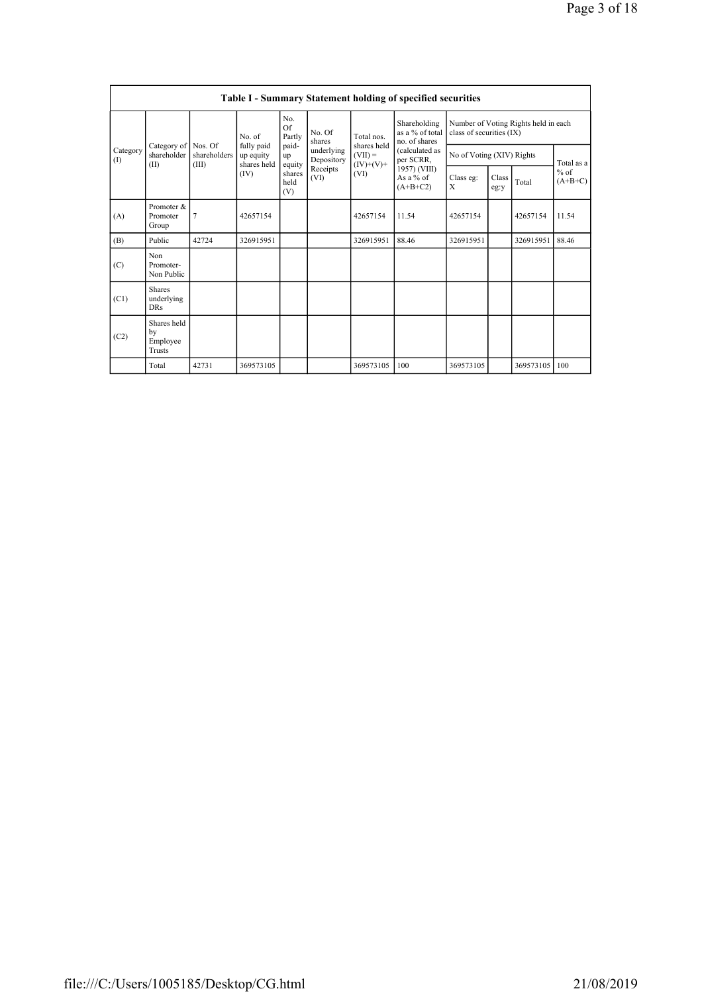|                 | <b>Table I - Summary Statement holding of specified securities</b> |                         |                                        |                                 |                          |                                                                               |                                                                                         |                           |               |                          |                     |                                      |  |
|-----------------|--------------------------------------------------------------------|-------------------------|----------------------------------------|---------------------------------|--------------------------|-------------------------------------------------------------------------------|-----------------------------------------------------------------------------------------|---------------------------|---------------|--------------------------|---------------------|--------------------------------------|--|
|                 |                                                                    |                         | No. of                                 | No.<br>Of<br>Partly             | No. Of<br>shares         | Shareholding<br>as a % of total<br>Total nos.<br>no. of shares<br>shares held |                                                                                         |                           |               | class of securities (IX) |                     | Number of Voting Rights held in each |  |
| Category<br>(1) | Category of<br>shareholder                                         | Nos. Of<br>shareholders | fully paid<br>up equity<br>shares held | paid-<br>up                     | underlying<br>Depository | $(VII) =$                                                                     | (calculated as<br>per SCRR,<br>$(IV)+(V)+$<br>1957) (VIII)<br>As a $%$ of<br>$(A+B+C2)$ | No of Voting (XIV) Rights |               |                          | Total as a          |                                      |  |
|                 | (II)                                                               | (III)                   | (IV)                                   | equity<br>shares<br>held<br>(V) | Receipts<br>(VI)         | (VI)                                                                          |                                                                                         | Class eg:<br>X            | Class<br>eg:y | Total                    | $%$ of<br>$(A+B+C)$ |                                      |  |
| (A)             | Promoter &<br>Promoter<br>Group                                    | 7                       | 42657154                               |                                 |                          | 42657154                                                                      | 11.54                                                                                   | 42657154                  |               | 42657154                 | 11.54               |                                      |  |
| (B)             | Public                                                             | 42724                   | 326915951                              |                                 |                          | 326915951                                                                     | 88.46                                                                                   | 326915951                 |               | 326915951                | 88.46               |                                      |  |
| (C)             | Non<br>Promoter-<br>Non Public                                     |                         |                                        |                                 |                          |                                                                               |                                                                                         |                           |               |                          |                     |                                      |  |
| (C1)            | <b>Shares</b><br>underlying<br>DRs                                 |                         |                                        |                                 |                          |                                                                               |                                                                                         |                           |               |                          |                     |                                      |  |
| (C2)            | Shares held<br>by<br>Employee<br>Trusts                            |                         |                                        |                                 |                          |                                                                               |                                                                                         |                           |               |                          |                     |                                      |  |
|                 | Total                                                              | 42731                   | 369573105                              |                                 |                          | 369573105                                                                     | 100                                                                                     | 369573105                 |               | 369573105                | 100                 |                                      |  |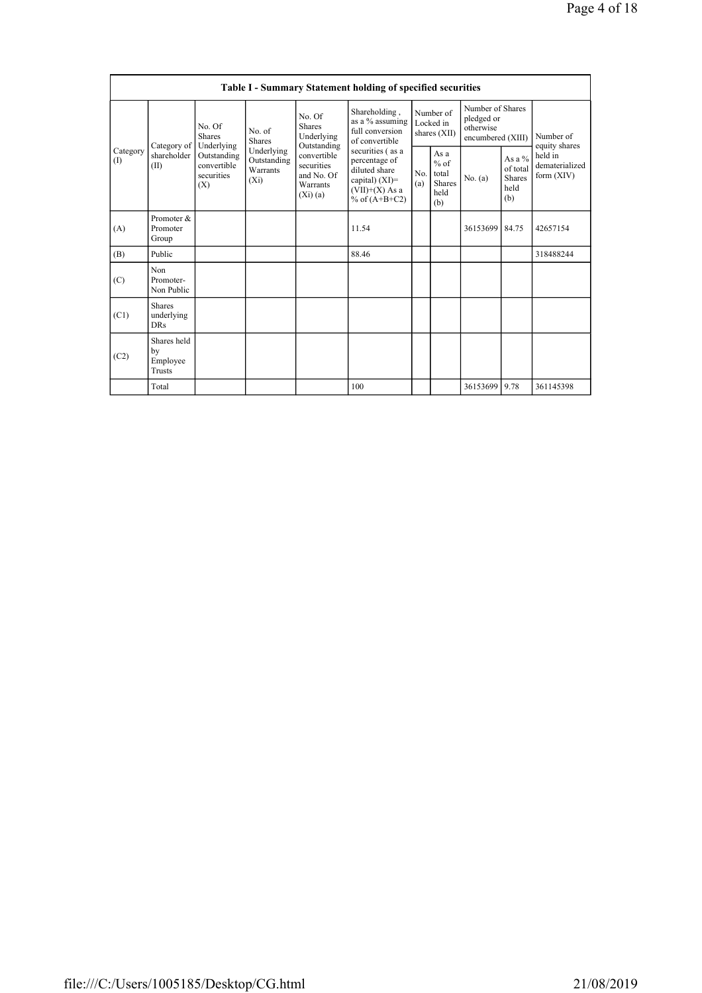| <b>Table I - Summary Statement holding of specified securities</b> |                                           |                                                 |                                                  |                                                                                                                                     |                                                                       |                                        |                                                  |                                                                  |                                                       |                                           |
|--------------------------------------------------------------------|-------------------------------------------|-------------------------------------------------|--------------------------------------------------|-------------------------------------------------------------------------------------------------------------------------------------|-----------------------------------------------------------------------|----------------------------------------|--------------------------------------------------|------------------------------------------------------------------|-------------------------------------------------------|-------------------------------------------|
|                                                                    |                                           | No. Of<br><b>Shares</b><br>Underlying           | No. of<br><b>Shares</b>                          | No. Of<br><b>Shares</b><br>Underlying                                                                                               | Shareholding,<br>as a % assuming<br>full conversion<br>of convertible | Number of<br>Locked in<br>shares (XII) |                                                  | Number of Shares<br>pledged or<br>otherwise<br>encumbered (XIII) |                                                       | Number of<br>equity shares                |
| Category<br>(I)                                                    | Category of<br>shareholder<br>(II)        | Outstanding<br>convertible<br>securities<br>(X) | Underlying<br>Outstanding<br>Warrants<br>$(X_i)$ | Outstanding<br>convertible<br>percentage of<br>securities<br>diluted share<br>and No. Of<br>capital) $(XI)=$<br>Warrants<br>(Xi)(a) | securities (as a<br>$(VII)+(X)$ As a<br>% of $(A+B+C2)$               | No.<br>(a)                             | As a<br>$%$ of<br>total<br>Shares<br>held<br>(b) | No. $(a)$                                                        | As a $\%$<br>of total<br><b>Shares</b><br>held<br>(b) | held in<br>dematerialized<br>form $(XIV)$ |
| (A)                                                                | Promoter &<br>Promoter<br>Group           |                                                 |                                                  |                                                                                                                                     | 11.54                                                                 |                                        |                                                  | 36153699                                                         | 84.75                                                 | 42657154                                  |
| (B)                                                                | Public                                    |                                                 |                                                  |                                                                                                                                     | 88.46                                                                 |                                        |                                                  |                                                                  |                                                       | 318488244                                 |
| (C)                                                                | Non<br>Promoter-<br>Non Public            |                                                 |                                                  |                                                                                                                                     |                                                                       |                                        |                                                  |                                                                  |                                                       |                                           |
| (C1)                                                               | <b>Shares</b><br>underlying<br><b>DRs</b> |                                                 |                                                  |                                                                                                                                     |                                                                       |                                        |                                                  |                                                                  |                                                       |                                           |
| (C2)                                                               | Shares held<br>by<br>Employee<br>Trusts   |                                                 |                                                  |                                                                                                                                     |                                                                       |                                        |                                                  |                                                                  |                                                       |                                           |
|                                                                    | Total                                     |                                                 |                                                  |                                                                                                                                     | 100                                                                   |                                        |                                                  | 36153699                                                         | 9.78                                                  | 361145398                                 |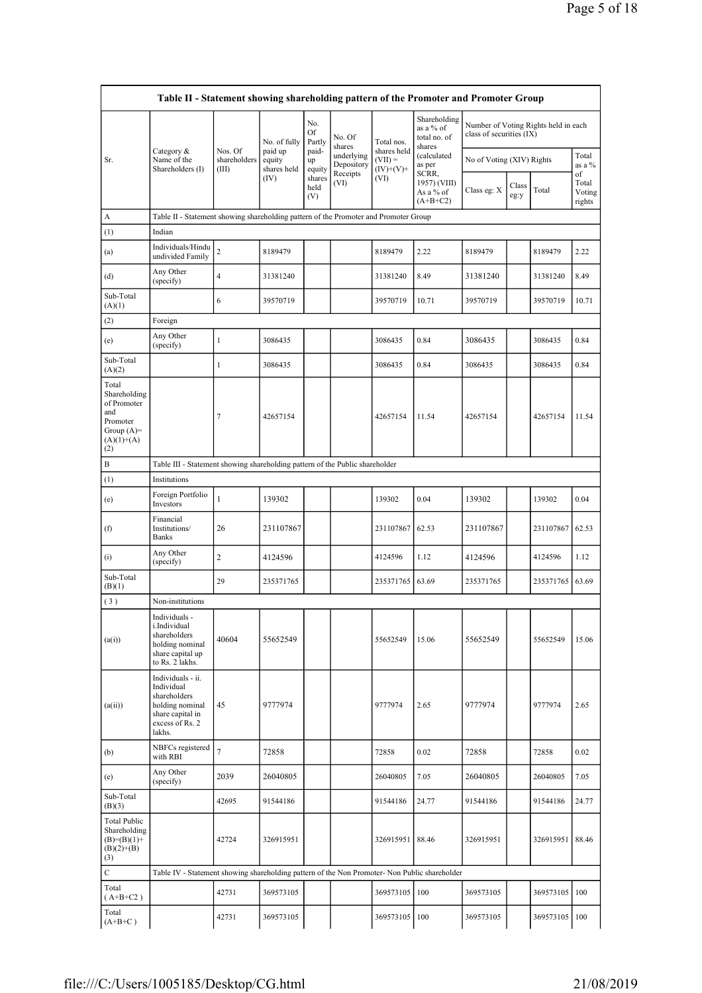|                                                                                                | Table II - Statement showing shareholding pattern of the Promoter and Promoter Group                                |                                  |                                  |                       |                          |                                         |                                                     |                                                                  |               |                 |                                 |
|------------------------------------------------------------------------------------------------|---------------------------------------------------------------------------------------------------------------------|----------------------------------|----------------------------------|-----------------------|--------------------------|-----------------------------------------|-----------------------------------------------------|------------------------------------------------------------------|---------------|-----------------|---------------------------------|
|                                                                                                |                                                                                                                     |                                  | No. of fully                     | No.<br>Of<br>Partly   | No. Of<br>shares         | Total nos.                              | Shareholding<br>as a % of<br>total no. of<br>shares | Number of Voting Rights held in each<br>class of securities (IX) |               |                 |                                 |
| Sr.                                                                                            | Category $&$<br>Name of the<br>Shareholders (I)                                                                     | Nos. Of<br>shareholders<br>(III) | paid up<br>equity<br>shares held | paid-<br>up<br>equity | underlying<br>Depository | shares held<br>$(VII) =$<br>$(IV)+(V)+$ | (calculated<br>as per                               | No of Voting (XIV) Rights                                        |               |                 | Total<br>as a %                 |
|                                                                                                |                                                                                                                     |                                  | (IV)                             | shares<br>held<br>(V) | Receipts<br>(VI)         | (VI)                                    | SCRR,<br>1957) (VIII)<br>As a % of<br>$(A+B+C2)$    | Class eg: X                                                      | Class<br>eg:y | Total           | of<br>Total<br>Voting<br>rights |
| A                                                                                              | Table II - Statement showing shareholding pattern of the Promoter and Promoter Group                                |                                  |                                  |                       |                          |                                         |                                                     |                                                                  |               |                 |                                 |
| (1)                                                                                            | Indian                                                                                                              |                                  |                                  |                       |                          |                                         |                                                     |                                                                  |               |                 |                                 |
| (a)                                                                                            | Individuals/Hindu<br>undivided Family                                                                               | $\overline{c}$                   | 8189479                          |                       |                          | 8189479                                 | 2.22                                                | 8189479                                                          |               | 8189479         | 2.22                            |
| (d)                                                                                            | Any Other<br>(specify)                                                                                              | $\overline{4}$                   | 31381240                         |                       |                          | 31381240                                | 8.49                                                | 31381240                                                         |               | 31381240        | 8.49                            |
| Sub-Total<br>(A)(1)                                                                            |                                                                                                                     | 6                                | 39570719                         |                       |                          | 39570719                                | 10.71                                               | 39570719                                                         |               | 39570719        | 10.71                           |
| (2)                                                                                            | Foreign                                                                                                             |                                  |                                  |                       |                          |                                         |                                                     |                                                                  |               |                 |                                 |
| (e)                                                                                            | Any Other<br>(specify)                                                                                              | $\mathbf{1}$                     | 3086435                          |                       |                          | 3086435                                 | 0.84                                                | 3086435                                                          |               | 3086435         | 0.84                            |
| Sub-Total<br>(A)(2)                                                                            |                                                                                                                     | 1                                | 3086435                          |                       |                          | 3086435                                 | 0.84                                                | 3086435                                                          |               | 3086435         | 0.84                            |
| Total<br>Shareholding<br>of Promoter<br>and<br>Promoter<br>Group $(A)=$<br>$(A)(1)+(A)$<br>(2) |                                                                                                                     | 7                                | 42657154                         |                       |                          | 42657154                                | 11.54                                               | 42657154                                                         |               | 42657154        | 11.54                           |
| B                                                                                              | Table III - Statement showing shareholding pattern of the Public shareholder                                        |                                  |                                  |                       |                          |                                         |                                                     |                                                                  |               |                 |                                 |
| (1)                                                                                            | Institutions                                                                                                        |                                  |                                  |                       |                          |                                         |                                                     |                                                                  |               |                 |                                 |
| (e)                                                                                            | Foreign Portfolio<br>Investors                                                                                      | $\mathbf{1}$                     | 139302                           |                       |                          | 139302                                  | 0.04                                                | 139302                                                           |               | 139302          | 0.04                            |
| (f)                                                                                            | Financial<br>Institutions/<br><b>Banks</b>                                                                          | 26                               | 231107867                        |                       |                          | 231107867                               | 62.53                                               | 231107867                                                        |               | 231107867       | 62.53                           |
| (i)                                                                                            | Any Other<br>(specify)                                                                                              | $\sqrt{2}$                       | 4124596                          |                       |                          | 4124596                                 | 1.12                                                | 4124596                                                          |               | 4124596         | 1.12                            |
| Sub-Total<br>(B)(1)                                                                            |                                                                                                                     | 29                               | 235371765                        |                       |                          | 235371765                               | 63.69                                               | 235371765                                                        |               | 235371765 63.69 |                                 |
| (3)                                                                                            | Non-institutions                                                                                                    |                                  |                                  |                       |                          |                                         |                                                     |                                                                  |               |                 |                                 |
| (a(i))                                                                                         | Individuals -<br>i.Individual<br>shareholders<br>holding nominal<br>share capital up<br>to Rs. 2 lakhs.             | 40604                            | 55652549                         |                       |                          | 55652549                                | 15.06                                               | 55652549                                                         |               | 55652549        | 15.06                           |
| (a(ii))                                                                                        | Individuals - ii.<br>Individual<br>shareholders<br>holding nominal<br>share capital in<br>excess of Rs. 2<br>lakhs. | 45                               | 9777974                          |                       |                          | 9777974                                 | 2.65                                                | 9777974                                                          |               | 9777974         | 2.65                            |
| (b)                                                                                            | NBFCs registered<br>with RBI                                                                                        | $\overline{7}$                   | 72858                            |                       |                          | 72858                                   | 0.02                                                | 72858                                                            |               | 72858           | 0.02                            |
| (e)                                                                                            | Any Other<br>(specify)                                                                                              | 2039                             | 26040805                         |                       |                          | 26040805                                | 7.05                                                | 26040805                                                         |               | 26040805        | 7.05                            |
| Sub-Total<br>(B)(3)                                                                            |                                                                                                                     | 42695                            | 91544186                         |                       |                          | 91544186                                | 24.77                                               | 91544186                                                         |               | 91544186        | 24.77                           |
| <b>Total Public</b><br>Shareholding<br>$(B)= (B)(1) +$<br>$(B)(2)+(B)$<br>(3)                  |                                                                                                                     | 42724                            | 326915951                        |                       |                          | 326915951 88.46                         |                                                     | 326915951                                                        |               | 326915951       | 88.46                           |
| $\mathbf C$                                                                                    | Table IV - Statement showing shareholding pattern of the Non Promoter- Non Public shareholder                       |                                  |                                  |                       |                          |                                         |                                                     |                                                                  |               |                 |                                 |
| Total<br>$(A+B+C2)$                                                                            |                                                                                                                     | 42731                            | 369573105                        |                       |                          | 369573105                               | 100                                                 | 369573105                                                        |               | 369573105       | 100                             |
| Total<br>$(A+B+C)$                                                                             |                                                                                                                     | 42731                            | 369573105                        |                       |                          | 369573105                               | 100                                                 | 369573105                                                        |               | 369573105 100   |                                 |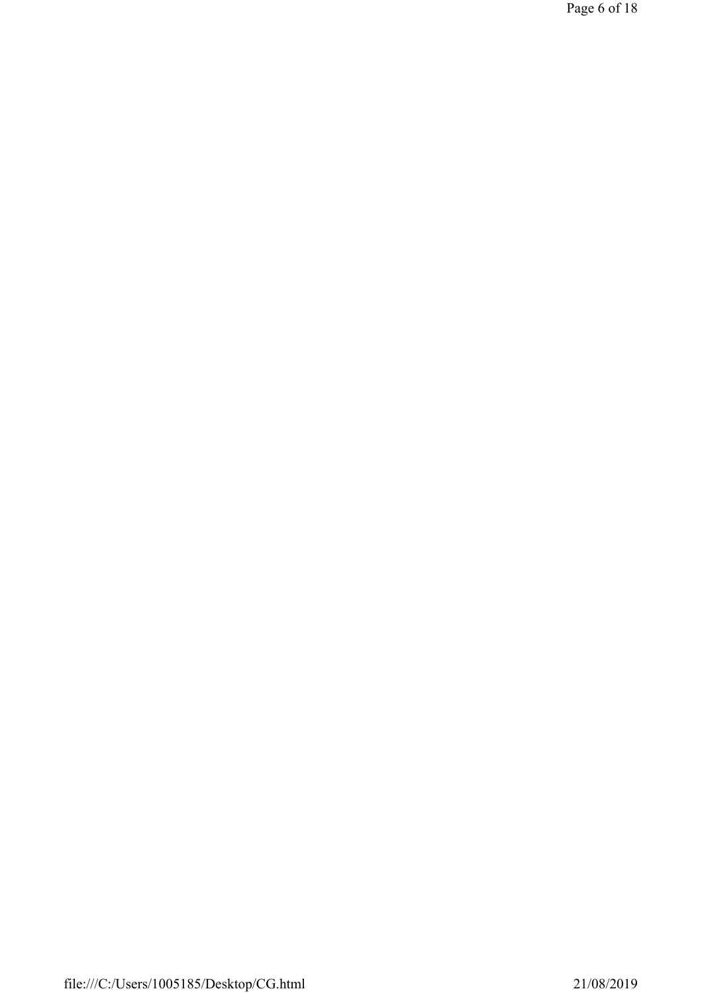Page 6 of 18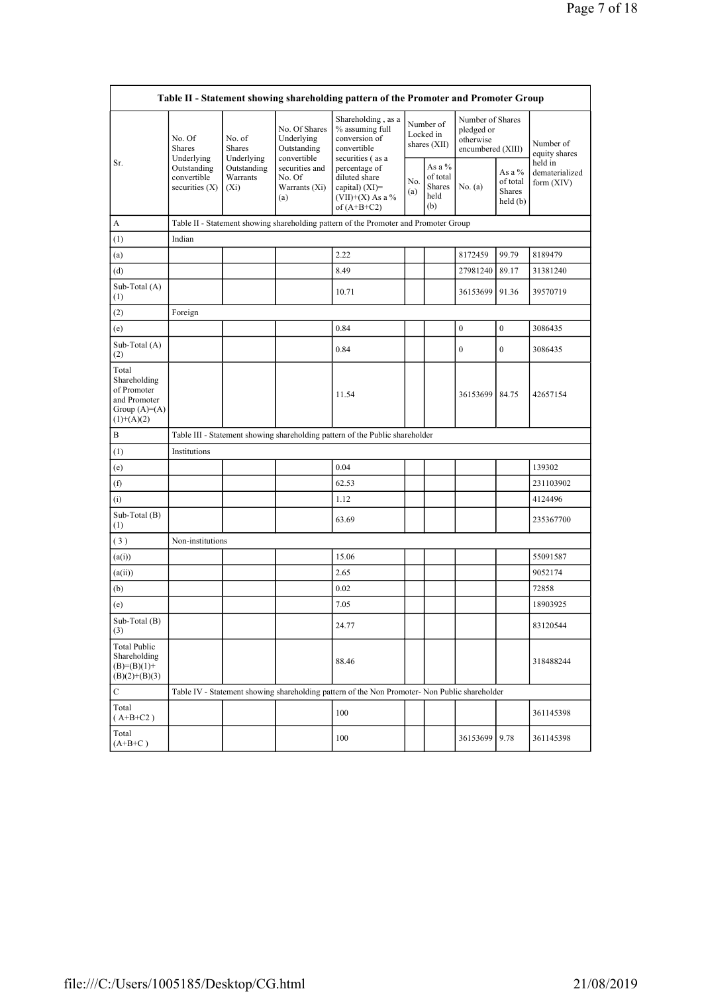|                                                                                        | Table II - Statement showing shareholding pattern of the Promoter and Promoter Group |                                       |                                                           |                                                                                                                              |                                        |                                             |                                                                  |                                                                                             |                            |
|----------------------------------------------------------------------------------------|--------------------------------------------------------------------------------------|---------------------------------------|-----------------------------------------------------------|------------------------------------------------------------------------------------------------------------------------------|----------------------------------------|---------------------------------------------|------------------------------------------------------------------|---------------------------------------------------------------------------------------------|----------------------------|
|                                                                                        | No. Of<br><b>Shares</b><br>Underlying                                                | No. of<br><b>Shares</b><br>Underlying | No. Of Shares<br>Underlying<br>Outstanding<br>convertible | Shareholding, as a<br>% assuming full<br>conversion of<br>convertible                                                        | Number of<br>Locked in<br>shares (XII) |                                             | Number of Shares<br>pledged or<br>otherwise<br>encumbered (XIII) |                                                                                             | Number of<br>equity shares |
| Sr.                                                                                    | Outstanding<br>convertible<br>securities $(X)$                                       | Outstanding<br>Warrants<br>$(X_i)$    | securities and<br>No. Of<br>Warrants (Xi)<br>(a)          | securities (as a<br>percentage of<br>diluted share<br>No.<br>capital) $(XI)$ =<br>(a)<br>$(VII)+(X)$ As a %<br>of $(A+B+C2)$ |                                        | As a %<br>of total<br>Shares<br>held<br>(b) | No. (a)                                                          | held in<br>As a $%$<br>dematerialized<br>of total<br>form (XIV)<br><b>Shares</b><br>held(b) |                            |
| A                                                                                      |                                                                                      |                                       |                                                           | Table II - Statement showing shareholding pattern of the Promoter and Promoter Group                                         |                                        |                                             |                                                                  |                                                                                             |                            |
| (1)                                                                                    | Indian                                                                               |                                       |                                                           |                                                                                                                              |                                        |                                             |                                                                  |                                                                                             |                            |
| (a)                                                                                    |                                                                                      |                                       |                                                           | 2.22                                                                                                                         |                                        |                                             | 8172459                                                          | 99.79                                                                                       | 8189479                    |
| (d)                                                                                    |                                                                                      |                                       |                                                           | 8.49                                                                                                                         |                                        |                                             | 27981240                                                         | 89.17                                                                                       | 31381240                   |
| Sub-Total (A)<br>(1)                                                                   |                                                                                      |                                       |                                                           | 10.71                                                                                                                        |                                        |                                             | 36153699                                                         | 91.36                                                                                       | 39570719                   |
| (2)                                                                                    | Foreign                                                                              |                                       |                                                           |                                                                                                                              |                                        |                                             |                                                                  |                                                                                             |                            |
| (e)                                                                                    |                                                                                      |                                       |                                                           | 0.84                                                                                                                         |                                        |                                             | $\boldsymbol{0}$                                                 | $\boldsymbol{0}$                                                                            | 3086435                    |
| Sub-Total $(A)$<br>(2)                                                                 |                                                                                      |                                       |                                                           | 0.84                                                                                                                         |                                        |                                             | $\mathbf{0}$                                                     | $\mathbf{0}$                                                                                | 3086435                    |
| Total<br>Shareholding<br>of Promoter<br>and Promoter<br>Group $(A)=A)$<br>$(1)+(A)(2)$ |                                                                                      |                                       |                                                           | 11.54                                                                                                                        |                                        |                                             | 36153699 84.75                                                   |                                                                                             | 42657154                   |
| B                                                                                      |                                                                                      |                                       |                                                           | Table III - Statement showing shareholding pattern of the Public shareholder                                                 |                                        |                                             |                                                                  |                                                                                             |                            |
| (1)                                                                                    | Institutions                                                                         |                                       |                                                           |                                                                                                                              |                                        |                                             |                                                                  |                                                                                             |                            |
| (e)                                                                                    |                                                                                      |                                       |                                                           | 0.04                                                                                                                         |                                        |                                             |                                                                  |                                                                                             | 139302                     |
| (f)                                                                                    |                                                                                      |                                       |                                                           | 62.53                                                                                                                        |                                        |                                             |                                                                  |                                                                                             | 231103902                  |
| (i)                                                                                    |                                                                                      |                                       |                                                           | 1.12                                                                                                                         |                                        |                                             |                                                                  |                                                                                             | 4124496                    |
| $Sub-Total(B)$<br>(1)                                                                  |                                                                                      |                                       |                                                           | 63.69                                                                                                                        |                                        |                                             |                                                                  |                                                                                             | 235367700                  |
| (3)                                                                                    | Non-institutions                                                                     |                                       |                                                           |                                                                                                                              |                                        |                                             |                                                                  |                                                                                             |                            |
| (a(i))                                                                                 |                                                                                      |                                       |                                                           | 15.06                                                                                                                        |                                        |                                             |                                                                  |                                                                                             | 55091587                   |
| (a(ii))                                                                                |                                                                                      |                                       |                                                           | 2.65                                                                                                                         |                                        |                                             |                                                                  |                                                                                             | 9052174                    |
| (b)                                                                                    |                                                                                      |                                       |                                                           | 0.02                                                                                                                         |                                        |                                             |                                                                  |                                                                                             | 72858                      |
| (e)                                                                                    |                                                                                      |                                       |                                                           | 7.05                                                                                                                         |                                        |                                             |                                                                  |                                                                                             | 18903925                   |
| Sub-Total (B)<br>(3)                                                                   |                                                                                      |                                       |                                                           | 24.77                                                                                                                        |                                        |                                             |                                                                  |                                                                                             | 83120544                   |
| <b>Total Public</b><br>Shareholding<br>$(B)= (B)(1) +$<br>$(B)(2)+(B)(3)$              |                                                                                      |                                       |                                                           | 88.46                                                                                                                        |                                        |                                             |                                                                  |                                                                                             | 318488244                  |
| C                                                                                      |                                                                                      |                                       |                                                           | Table IV - Statement showing shareholding pattern of the Non Promoter- Non Public shareholder                                |                                        |                                             |                                                                  |                                                                                             |                            |
| Total<br>$(A+B+C2)$                                                                    |                                                                                      |                                       |                                                           | 100                                                                                                                          |                                        |                                             |                                                                  |                                                                                             | 361145398                  |
| Total<br>$(A+B+C)$                                                                     |                                                                                      |                                       |                                                           | 100                                                                                                                          |                                        |                                             | 36153699                                                         | 9.78                                                                                        | 361145398                  |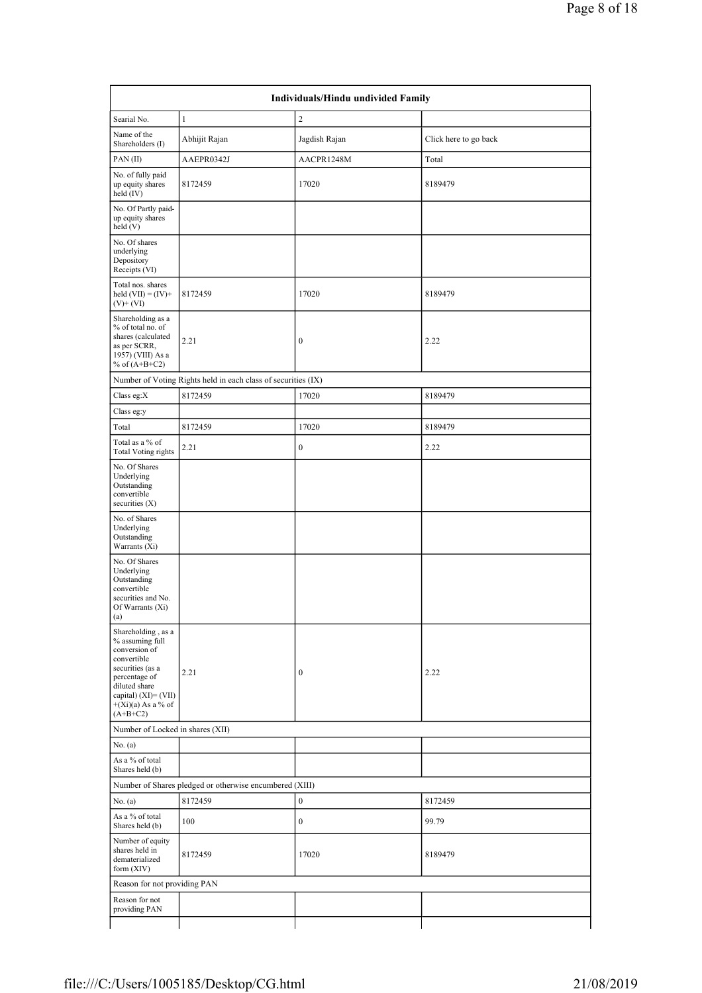|                                                                                                                                                                                           |                                                               | Individuals/Hindu undivided Family |                       |
|-------------------------------------------------------------------------------------------------------------------------------------------------------------------------------------------|---------------------------------------------------------------|------------------------------------|-----------------------|
| Searial No.                                                                                                                                                                               | $\mathbf{1}$                                                  | $\overline{c}$                     |                       |
| Name of the<br>Shareholders (I)                                                                                                                                                           | Abhijit Rajan                                                 | Jagdish Rajan                      | Click here to go back |
| PAN(II)                                                                                                                                                                                   | AAEPR0342J                                                    | AACPR1248M                         | Total                 |
| No. of fully paid<br>up equity shares<br>held (IV)                                                                                                                                        | 8172459                                                       | 17020                              | 8189479               |
| No. Of Partly paid-<br>up equity shares<br>held(V)                                                                                                                                        |                                                               |                                    |                       |
| No. Of shares<br>underlying<br>Depository<br>Receipts (VI)                                                                                                                                |                                                               |                                    |                       |
| Total nos. shares<br>held $(VII) = (IV) +$<br>$(V)$ + $(VI)$                                                                                                                              | 8172459                                                       | 17020                              | 8189479               |
| Shareholding as a<br>% of total no. of<br>shares (calculated<br>as per SCRR,<br>1957) (VIII) As a<br>% of $(A+B+C2)$                                                                      | 2.21                                                          | $\boldsymbol{0}$                   | 2.22                  |
|                                                                                                                                                                                           | Number of Voting Rights held in each class of securities (IX) |                                    |                       |
| Class eg: $X$                                                                                                                                                                             | 8172459                                                       | 17020                              | 8189479               |
| Class eg:y                                                                                                                                                                                |                                                               |                                    |                       |
| Total                                                                                                                                                                                     | 8172459                                                       | 17020                              | 8189479               |
| Total as a % of<br><b>Total Voting rights</b>                                                                                                                                             | 2.21                                                          | $\boldsymbol{0}$                   | 2.22                  |
| No. Of Shares<br>Underlying<br>Outstanding<br>convertible<br>securities (X)                                                                                                               |                                                               |                                    |                       |
| No. of Shares<br>Underlying<br>Outstanding<br>Warrants (Xi)                                                                                                                               |                                                               |                                    |                       |
| No. Of Shares<br>Underlying<br>Outstanding<br>convertible<br>securities and No.<br>Of Warrants (Xi)<br>(a)                                                                                |                                                               |                                    |                       |
| Shareholding, as a<br>% assuming full<br>conversion of<br>convertible<br>securities (as a<br>percentage of<br>diluted share<br>capital) (XI)= (VII)<br>$+(Xi)(a)$ As a % of<br>$(A+B+C2)$ | 2.21                                                          | $\boldsymbol{0}$                   | 2.22                  |
| Number of Locked in shares (XII)                                                                                                                                                          |                                                               |                                    |                       |
| No. (a)                                                                                                                                                                                   |                                                               |                                    |                       |
| As a % of total<br>Shares held (b)                                                                                                                                                        |                                                               |                                    |                       |
|                                                                                                                                                                                           | Number of Shares pledged or otherwise encumbered (XIII)       |                                    |                       |
| No. (a)                                                                                                                                                                                   | 8172459                                                       | $\boldsymbol{0}$                   | 8172459               |
| As a % of total<br>Shares held (b)                                                                                                                                                        | 100                                                           | $\boldsymbol{0}$                   | 99.79                 |
| Number of equity<br>shares held in<br>dematerialized<br>form (XIV)                                                                                                                        | 8172459                                                       | 17020                              | 8189479               |
| Reason for not providing PAN                                                                                                                                                              |                                                               |                                    |                       |
| Reason for not                                                                                                                                                                            |                                                               |                                    |                       |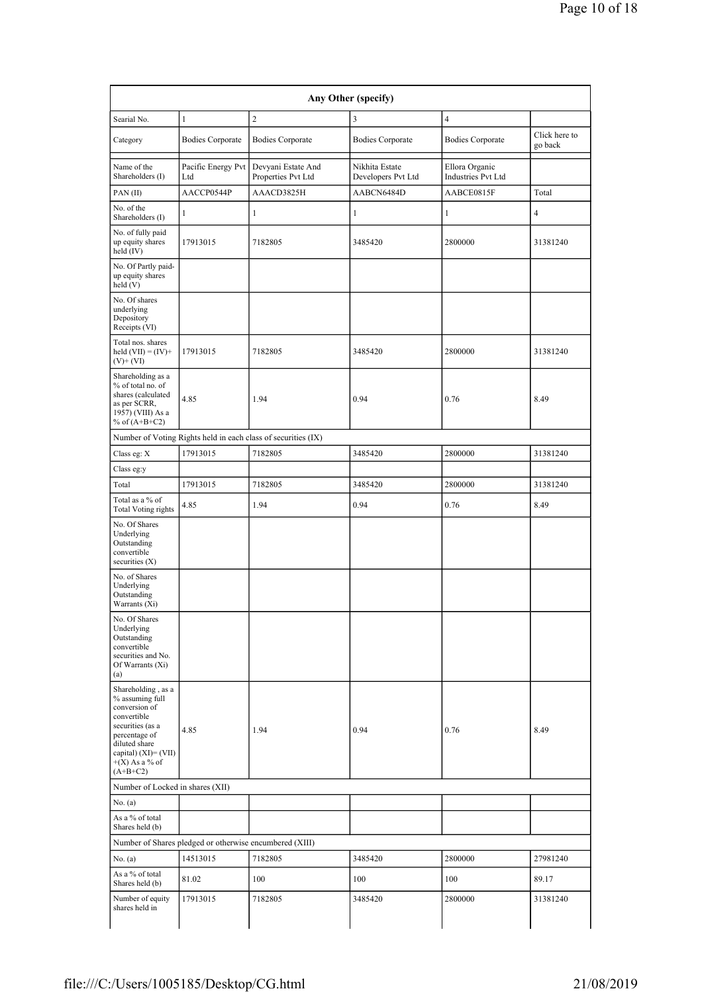| Searial No.                                                                                                                                                                              | $\mathbf{1}$                                            | $\overline{c}$                                                | $\overline{\mathbf{3}}$              | $\overline{4}$                       |                |
|------------------------------------------------------------------------------------------------------------------------------------------------------------------------------------------|---------------------------------------------------------|---------------------------------------------------------------|--------------------------------------|--------------------------------------|----------------|
|                                                                                                                                                                                          |                                                         |                                                               |                                      |                                      | Click here to  |
| Category                                                                                                                                                                                 | <b>Bodies Corporate</b>                                 | <b>Bodies Corporate</b>                                       | <b>Bodies Corporate</b>              | <b>Bodies Corporate</b>              | go back        |
| Name of the<br>Shareholders (I)                                                                                                                                                          | Pacific Energy Pvt<br>Ltd                               | Devyani Estate And<br>Properties Pvt Ltd                      | Nikhita Estate<br>Developers Pvt Ltd | Ellora Organic<br>Industries Pvt Ltd |                |
| PAN(II)                                                                                                                                                                                  | AACCP0544P                                              | AAACD3825H                                                    | AABCN6484D                           | AABCE0815F                           | Total          |
| No. of the<br>Shareholders (I)                                                                                                                                                           | $\mathbf{1}$                                            | $\mathbf{1}$                                                  | $\mathbf{1}$                         | $\mathbf{1}$                         | $\overline{4}$ |
| No. of fully paid<br>up equity shares<br>held (IV)                                                                                                                                       | 17913015                                                | 7182805                                                       | 3485420                              | 2800000                              | 31381240       |
| No. Of Partly paid-<br>up equity shares<br>held(V)                                                                                                                                       |                                                         |                                                               |                                      |                                      |                |
| No. Of shares<br>underlying<br>Depository<br>Receipts (VI)                                                                                                                               |                                                         |                                                               |                                      |                                      |                |
| Total nos. shares<br>held $(VII) = (IV) +$<br>$(V)$ + $(VI)$                                                                                                                             | 17913015                                                | 7182805                                                       | 3485420                              | 2800000                              | 31381240       |
| Shareholding as a<br>% of total no. of<br>shares (calculated<br>as per SCRR,<br>1957) (VIII) As a<br>% of $(A+B+C2)$                                                                     | 4.85                                                    | 1.94                                                          | 0.94                                 | 0.76                                 | 8.49           |
|                                                                                                                                                                                          |                                                         | Number of Voting Rights held in each class of securities (IX) |                                      |                                      |                |
| Class eg: X                                                                                                                                                                              | 17913015                                                | 7182805                                                       | 3485420                              | 2800000                              | 31381240       |
| Class eg:y                                                                                                                                                                               |                                                         |                                                               |                                      |                                      |                |
| Total                                                                                                                                                                                    | 17913015                                                | 7182805                                                       | 3485420                              | 2800000                              | 31381240       |
| Total as a % of<br><b>Total Voting rights</b>                                                                                                                                            | 4.85                                                    | 1.94                                                          | 0.94                                 | 0.76                                 | 8.49           |
| No. Of Shares<br>Underlying<br>Outstanding<br>convertible<br>securities $(X)$                                                                                                            |                                                         |                                                               |                                      |                                      |                |
| No. of Shares<br>Underlying<br>Outstanding<br>Warrants (Xi)                                                                                                                              |                                                         |                                                               |                                      |                                      |                |
| No. Of Shares<br>Underlying<br>Outstanding<br>convertible<br>securities and No.<br>Of Warrants (Xi)<br>(a)                                                                               |                                                         |                                                               |                                      |                                      |                |
| Shareholding, as a<br>% assuming full<br>conversion of<br>convertible<br>securities (as a<br>percentage of<br>diluted share<br>capital) $(XI) = (VII)$<br>$+(X)$ As a % of<br>$(A+B+C2)$ | 4.85                                                    | 1.94                                                          | 0.94                                 | 0.76                                 | 8.49           |
| Number of Locked in shares (XII)                                                                                                                                                         |                                                         |                                                               |                                      |                                      |                |
| No. (a)                                                                                                                                                                                  |                                                         |                                                               |                                      |                                      |                |
| As a % of total<br>Shares held (b)                                                                                                                                                       |                                                         |                                                               |                                      |                                      |                |
|                                                                                                                                                                                          | Number of Shares pledged or otherwise encumbered (XIII) |                                                               |                                      |                                      |                |
| No. (a)                                                                                                                                                                                  | 14513015                                                | 7182805                                                       | 3485420                              | 2800000                              | 27981240       |
| As a % of total<br>Shares held (b)                                                                                                                                                       | 81.02                                                   | 100                                                           | 100                                  | 100                                  | 89.17          |
| Number of equity<br>shares held in                                                                                                                                                       | 17913015                                                | 7182805                                                       | 3485420                              | 2800000                              | 31381240       |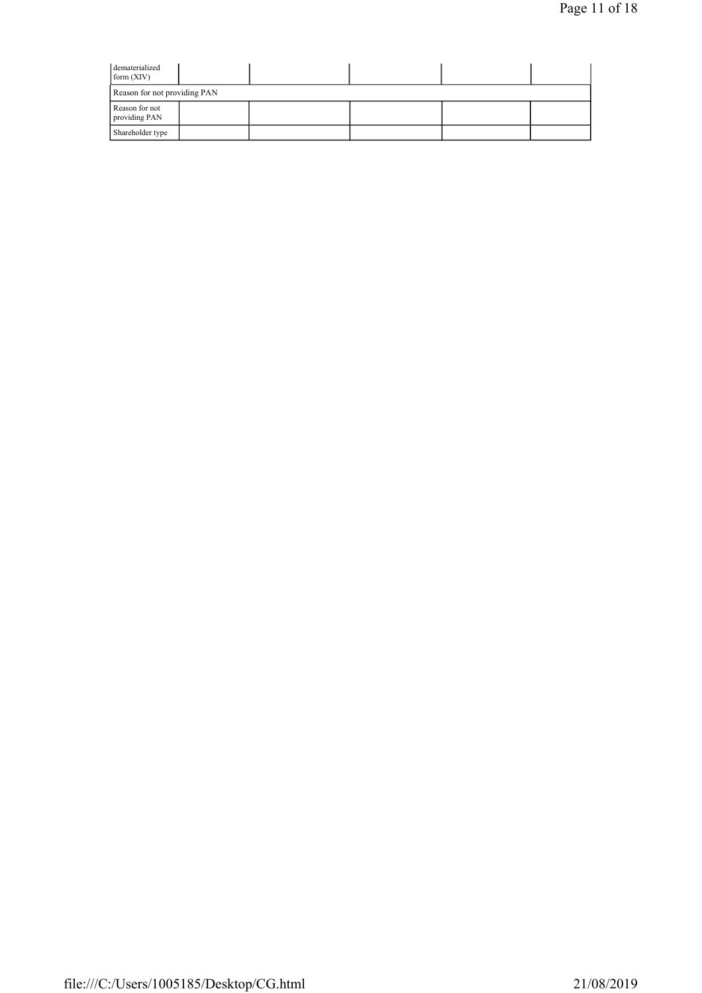| dematerialized<br>form $(XIV)$  |  |  |  |  |  |  |
|---------------------------------|--|--|--|--|--|--|
| Reason for not providing PAN    |  |  |  |  |  |  |
| Reason for not<br>providing PAN |  |  |  |  |  |  |
| Shareholder type                |  |  |  |  |  |  |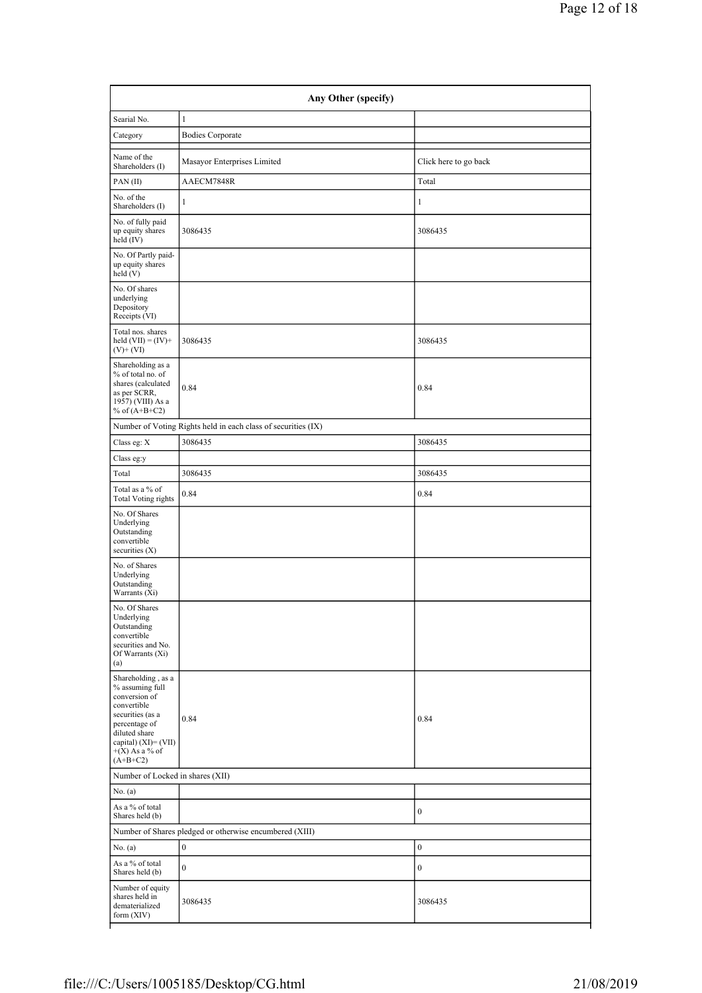| Searial No.                                                                                                                                                                              | $\mathbf{1}$                                                  |                       |
|------------------------------------------------------------------------------------------------------------------------------------------------------------------------------------------|---------------------------------------------------------------|-----------------------|
| Category                                                                                                                                                                                 | <b>Bodies Corporate</b>                                       |                       |
| Name of the<br>Shareholders (I)                                                                                                                                                          | Masayor Enterprises Limited                                   | Click here to go back |
| PAN(II)                                                                                                                                                                                  | AAECM7848R                                                    | Total                 |
| No. of the<br>Shareholders (I)                                                                                                                                                           | $\mathbf{1}$                                                  | $\mathbf{1}$          |
| No. of fully paid<br>up equity shares<br>held (IV)                                                                                                                                       | 3086435                                                       | 3086435               |
| No. Of Partly paid-<br>up equity shares<br>held(V)                                                                                                                                       |                                                               |                       |
| No. Of shares<br>underlying<br>Depository<br>Receipts (VI)                                                                                                                               |                                                               |                       |
| Total nos. shares<br>held $(VII) = (IV) +$<br>$(V)$ + $(VI)$                                                                                                                             | 3086435                                                       | 3086435               |
| Shareholding as a<br>% of total no. of<br>shares (calculated<br>as per SCRR,<br>1957) (VIII) As a<br>% of $(A+B+C2)$                                                                     | 0.84                                                          | 0.84                  |
|                                                                                                                                                                                          | Number of Voting Rights held in each class of securities (IX) |                       |
| Class eg: $\mathbf X$                                                                                                                                                                    | 3086435                                                       | 3086435               |
| Class eg:y                                                                                                                                                                               |                                                               |                       |
| Total                                                                                                                                                                                    | 3086435                                                       | 3086435               |
| Total as a % of<br><b>Total Voting rights</b>                                                                                                                                            | 0.84                                                          | 0.84                  |
| No. Of Shares<br>Underlying<br>Outstanding<br>convertible<br>securities $(X)$<br>No. of Shares<br>Underlying                                                                             |                                                               |                       |
| Outstanding<br>Warrants (Xi)<br>No. Of Shares<br>Underlying<br>Outstanding<br>convertible<br>securities and No.                                                                          |                                                               |                       |
| Of Warrants (Xi)<br>(a)                                                                                                                                                                  |                                                               |                       |
| Shareholding, as a<br>% assuming full<br>conversion of<br>convertible<br>securities (as a<br>percentage of<br>diluted share<br>capital) $(XI) = (VII)$<br>$+(X)$ As a % of<br>$(A+B+C2)$ | 0.84                                                          | 0.84                  |
| Number of Locked in shares (XII)                                                                                                                                                         |                                                               |                       |
| No. (a)                                                                                                                                                                                  |                                                               |                       |
| As a % of total<br>Shares held (b)                                                                                                                                                       |                                                               | $\boldsymbol{0}$      |
|                                                                                                                                                                                          | Number of Shares pledged or otherwise encumbered (XIII)       |                       |
| No. (a)                                                                                                                                                                                  | $\boldsymbol{0}$                                              | $\boldsymbol{0}$      |
| As a % of total<br>Shares held (b)                                                                                                                                                       | $\mathbf{0}$                                                  | $\boldsymbol{0}$      |
| Number of equity<br>shares held in<br>dematerialized                                                                                                                                     | 3086435                                                       | 3086435               |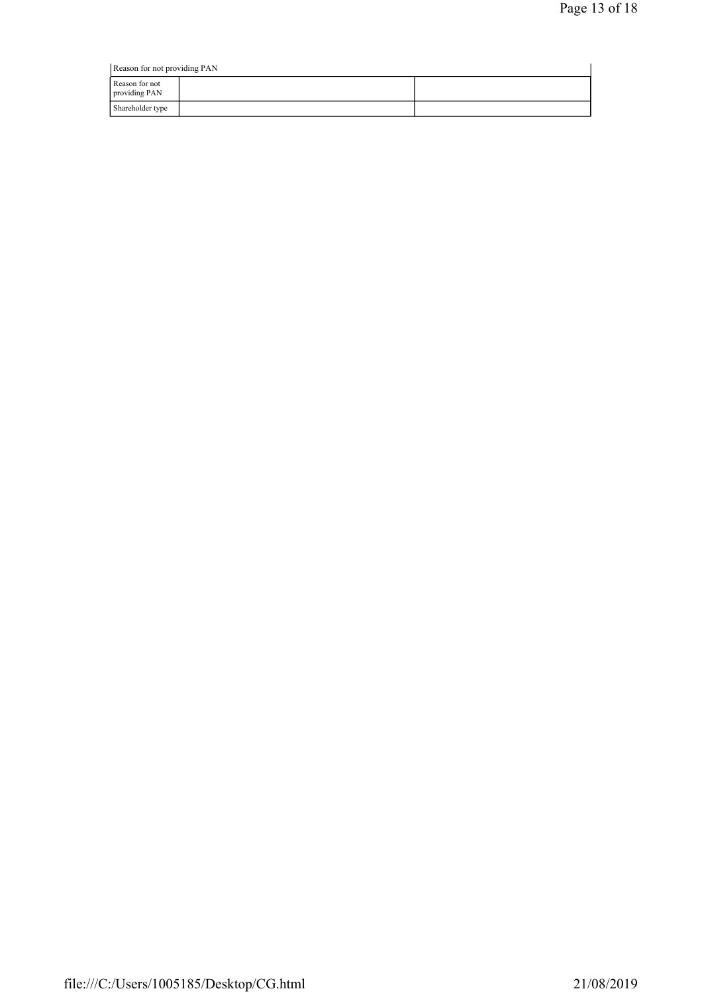|                                 | Reason for not providing PAN |  |  |  |  |  |  |
|---------------------------------|------------------------------|--|--|--|--|--|--|
| Reason for not<br>providing PAN |                              |  |  |  |  |  |  |
| Shareholder type                |                              |  |  |  |  |  |  |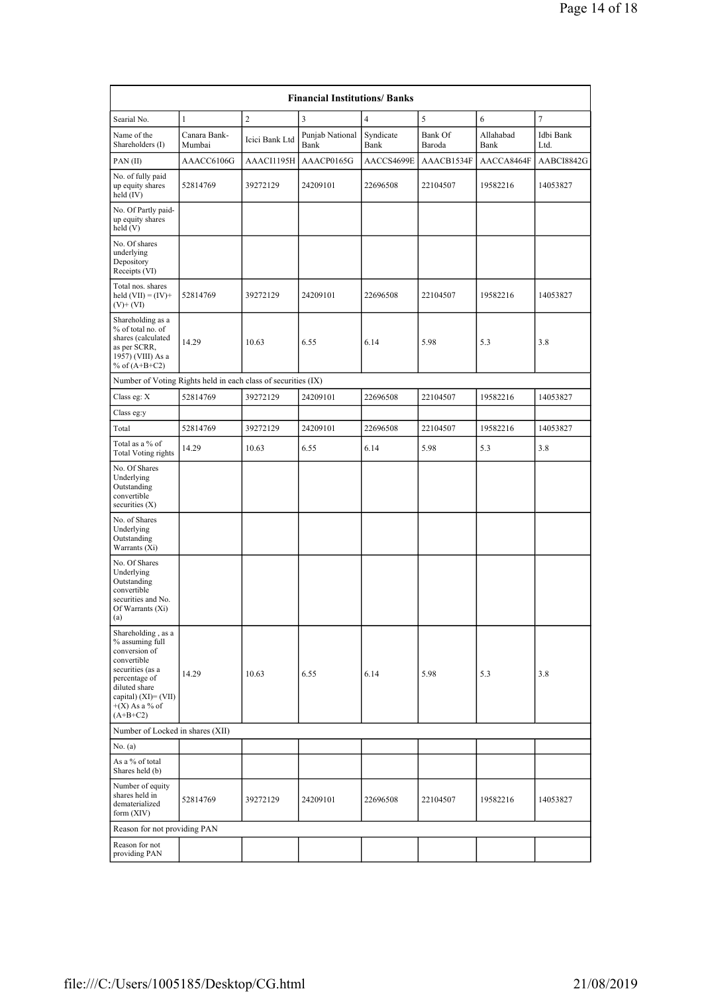| <b>Financial Institutions/ Banks</b>                                                                                                                                                     |                        |                |                         |                   |                   |                   |                   |
|------------------------------------------------------------------------------------------------------------------------------------------------------------------------------------------|------------------------|----------------|-------------------------|-------------------|-------------------|-------------------|-------------------|
| Searial No.                                                                                                                                                                              | $\mathbf{1}$           | $\overline{c}$ | 3                       | $\overline{4}$    | 5                 | 6                 | $\overline{7}$    |
| Name of the<br>Shareholders (I)                                                                                                                                                          | Canara Bank-<br>Mumbai | Icici Bank Ltd | Punjab National<br>Bank | Syndicate<br>Bank | Bank Of<br>Baroda | Allahabad<br>Bank | Idbi Bank<br>Ltd. |
| PAN(II)                                                                                                                                                                                  | AAACC6106G             | AAACI1195H     | AAACP0165G              | AACCS4699E        | AAACB1534F        | AACCA8464F        | AABCI8842G        |
| No. of fully paid<br>up equity shares<br>held (IV)                                                                                                                                       | 52814769               | 39272129       | 24209101                | 22696508          | 22104507          | 19582216          | 14053827          |
| No. Of Partly paid-<br>up equity shares<br>held(V)                                                                                                                                       |                        |                |                         |                   |                   |                   |                   |
| No. Of shares<br>underlying<br>Depository<br>Receipts (VI)                                                                                                                               |                        |                |                         |                   |                   |                   |                   |
| Total nos. shares<br>held $(VII) = (IV) +$<br>$(V)$ + $(VI)$                                                                                                                             | 52814769               | 39272129       | 24209101                | 22696508          | 22104507          | 19582216          | 14053827          |
| Shareholding as a<br>% of total no. of<br>shares (calculated<br>as per SCRR,<br>1957) (VIII) As a<br>% of $(A+B+C2)$                                                                     | 14.29                  | 10.63          | 6.55                    | 6.14              | 5.98              | 5.3               | 3.8               |
| Number of Voting Rights held in each class of securities (IX)                                                                                                                            |                        |                |                         |                   |                   |                   |                   |
| Class eg: X                                                                                                                                                                              | 52814769               | 39272129       | 24209101                | 22696508          | 22104507          | 19582216          | 14053827          |
| Class eg:y                                                                                                                                                                               |                        |                |                         |                   |                   |                   |                   |
| Total                                                                                                                                                                                    | 52814769               | 39272129       | 24209101                | 22696508          | 22104507          | 19582216          | 14053827          |
| Total as a % of<br><b>Total Voting rights</b>                                                                                                                                            | 14.29                  | 10.63          | 6.55                    | 6.14              | 5.98              | 5.3               | 3.8               |
| No. Of Shares<br>Underlying<br>Outstanding<br>convertible<br>securities $(X)$                                                                                                            |                        |                |                         |                   |                   |                   |                   |
| No. of Shares<br>Underlying<br>Outstanding<br>Warrants (Xi)                                                                                                                              |                        |                |                         |                   |                   |                   |                   |
| No. Of Shares<br>Underlying<br>Outstanding<br>convertible<br>securities and No.<br>Of Warrants (Xi)<br>(a)                                                                               |                        |                |                         |                   |                   |                   |                   |
| Shareholding, as a<br>% assuming full<br>conversion of<br>convertible<br>securities (as a<br>percentage of<br>diluted share<br>capital) $(XI) = (VII)$<br>$+(X)$ As a % of<br>$(A+B+C2)$ | 14.29                  | 10.63          | 6.55                    | 6.14              | 5.98              | 5.3               | 3.8               |
| Number of Locked in shares (XII)                                                                                                                                                         |                        |                |                         |                   |                   |                   |                   |
| No. (a)                                                                                                                                                                                  |                        |                |                         |                   |                   |                   |                   |
| As a % of total<br>Shares held (b)                                                                                                                                                       |                        |                |                         |                   |                   |                   |                   |
| Number of equity<br>shares held in<br>dematerialized<br>form (XIV)                                                                                                                       | 52814769               | 39272129       | 24209101                | 22696508          | 22104507          | 19582216          | 14053827          |
| Reason for not providing PAN                                                                                                                                                             |                        |                |                         |                   |                   |                   |                   |
| Reason for not<br>providing PAN                                                                                                                                                          |                        |                |                         |                   |                   |                   |                   |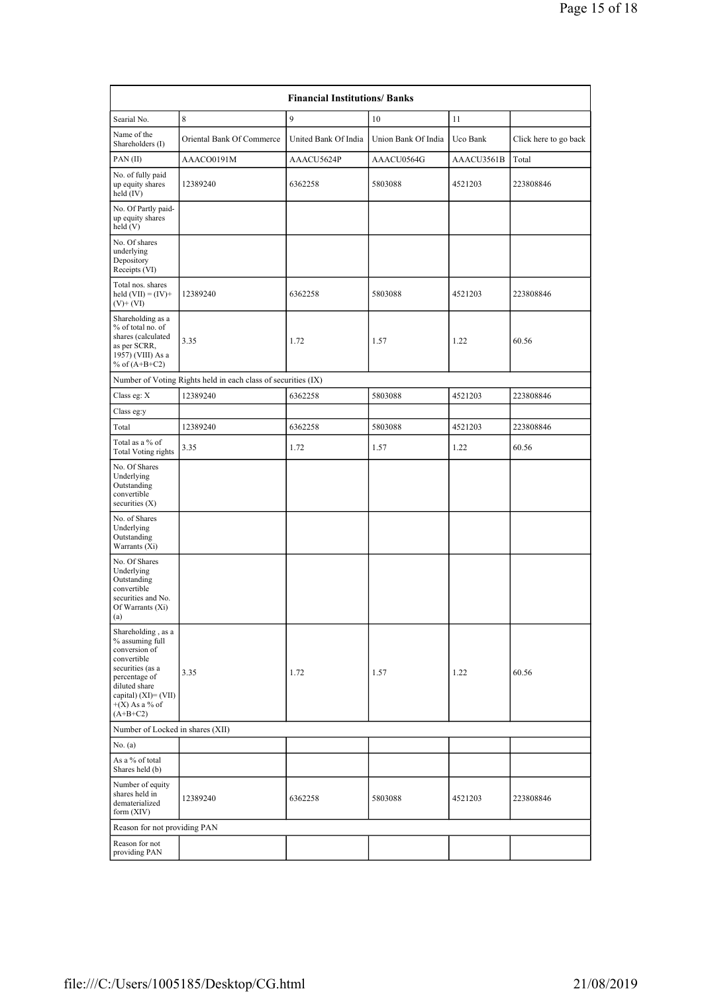| <b>Financial Institutions/ Banks</b>                                                                                                                                                     |                                  |                      |                     |            |                       |  |
|------------------------------------------------------------------------------------------------------------------------------------------------------------------------------------------|----------------------------------|----------------------|---------------------|------------|-----------------------|--|
| Searial No.                                                                                                                                                                              | 8                                | 9                    | 10                  | 11         |                       |  |
| Name of the<br>Shareholders (I)                                                                                                                                                          | Oriental Bank Of Commerce        | United Bank Of India | Union Bank Of India | Uco Bank   | Click here to go back |  |
| PAN(II)                                                                                                                                                                                  | AAACO0191M                       | AAACU5624P           | AAACU0564G          | AAACU3561B | Total                 |  |
| No. of fully paid<br>up equity shares<br>held (IV)                                                                                                                                       | 12389240                         | 6362258              | 5803088             | 4521203    | 223808846             |  |
| No. Of Partly paid-<br>up equity shares<br>held(V)                                                                                                                                       |                                  |                      |                     |            |                       |  |
| No. Of shares<br>underlying<br>Depository<br>Receipts (VI)                                                                                                                               |                                  |                      |                     |            |                       |  |
| Total nos. shares<br>held $(VII) = (IV) +$<br>$(V)$ + $(VI)$                                                                                                                             | 12389240                         | 6362258              | 5803088             | 4521203    | 223808846             |  |
| Shareholding as a<br>% of total no. of<br>shares (calculated<br>as per SCRR,<br>1957) (VIII) As a<br>% of $(A+B+C2)$                                                                     | 3.35                             | 1.72                 | 1.57                | 1.22       | 60.56                 |  |
| Number of Voting Rights held in each class of securities (IX)                                                                                                                            |                                  |                      |                     |            |                       |  |
| Class eg: X                                                                                                                                                                              | 12389240                         | 6362258              | 5803088             | 4521203    | 223808846             |  |
| Class eg:y                                                                                                                                                                               |                                  |                      |                     |            |                       |  |
| Total                                                                                                                                                                                    | 12389240                         | 6362258              | 5803088             | 4521203    | 223808846             |  |
| Total as a % of<br><b>Total Voting rights</b>                                                                                                                                            | 3.35                             | 1.72                 | 1.57                | 1.22       | 60.56                 |  |
| No. Of Shares<br>Underlying<br>Outstanding<br>convertible<br>securities $(X)$                                                                                                            |                                  |                      |                     |            |                       |  |
| No. of Shares<br>Underlying<br>Outstanding<br>Warrants (Xi)                                                                                                                              |                                  |                      |                     |            |                       |  |
| No. Of Shares<br>Underlying<br>Outstanding<br>convertible<br>securities and No.<br>Of Warrants (Xi)<br>(a)                                                                               |                                  |                      |                     |            |                       |  |
| Shareholding, as a<br>% assuming full<br>conversion of<br>convertible<br>securities (as a<br>percentage of<br>diluted share<br>capital) $(XI) = (VII)$<br>$+(X)$ As a % of<br>$(A+B+C2)$ | 3.35                             | 1.72                 | 1.57                | 1.22       | 60.56                 |  |
|                                                                                                                                                                                          | Number of Locked in shares (XII) |                      |                     |            |                       |  |
| No. (a)                                                                                                                                                                                  |                                  |                      |                     |            |                       |  |
| As a % of total<br>Shares held (b)                                                                                                                                                       |                                  |                      |                     |            |                       |  |
| Number of equity<br>shares held in<br>dematerialized<br>form $(XIV)$                                                                                                                     | 12389240                         | 6362258              | 5803088             | 4521203    | 223808846             |  |
| Reason for not providing PAN                                                                                                                                                             |                                  |                      |                     |            |                       |  |
| Reason for not<br>providing PAN                                                                                                                                                          |                                  |                      |                     |            |                       |  |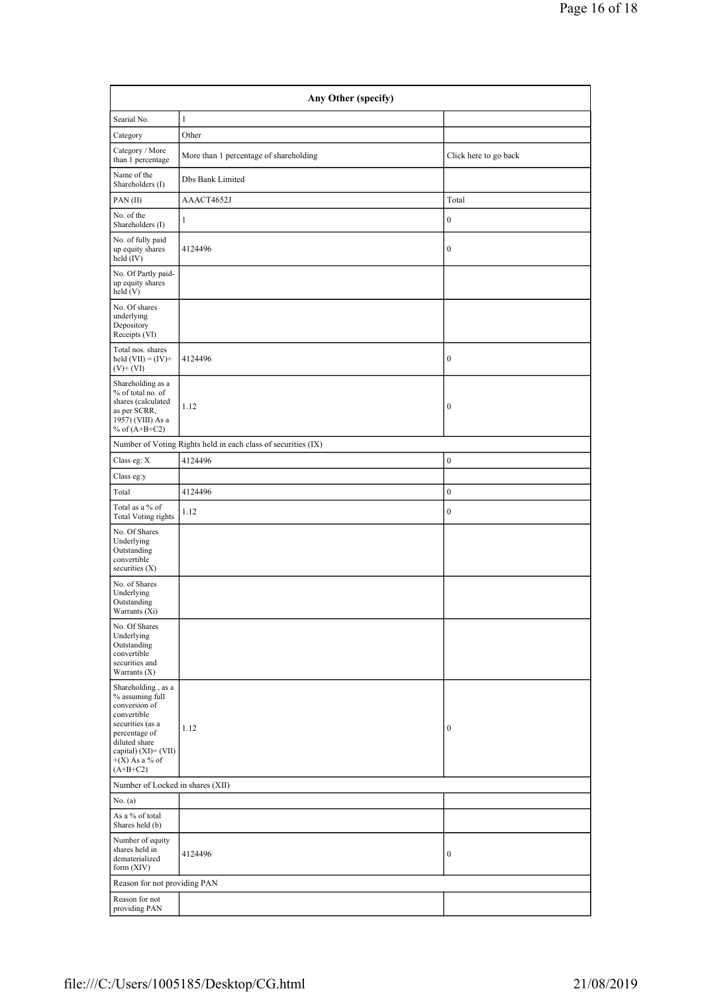| Any Other (specify)                                                                                                                                                                      |                                                               |                       |  |  |  |
|------------------------------------------------------------------------------------------------------------------------------------------------------------------------------------------|---------------------------------------------------------------|-----------------------|--|--|--|
| Searial No.                                                                                                                                                                              | $\mathbf{1}$                                                  |                       |  |  |  |
| Category                                                                                                                                                                                 | Other                                                         |                       |  |  |  |
| Category / More<br>than 1 percentage                                                                                                                                                     | More than 1 percentage of shareholding                        | Click here to go back |  |  |  |
| Name of the<br>Shareholders (I)                                                                                                                                                          | Dbs Bank Limited                                              |                       |  |  |  |
| PAN(II)                                                                                                                                                                                  | AAACT4652J                                                    | Total                 |  |  |  |
| No. of the<br>Shareholders (I)                                                                                                                                                           | $\mathbf{1}$                                                  | $\boldsymbol{0}$      |  |  |  |
| No. of fully paid<br>up equity shares<br>held $(IV)$                                                                                                                                     | 4124496                                                       | $\boldsymbol{0}$      |  |  |  |
| No. Of Partly paid-<br>up equity shares<br>held(V)                                                                                                                                       |                                                               |                       |  |  |  |
| No. Of shares<br>underlying<br>Depository<br>Receipts (VI)                                                                                                                               |                                                               |                       |  |  |  |
| Total nos. shares<br>held $(VII) = (IV) +$<br>$(V)$ + $(VI)$                                                                                                                             | 4124496                                                       | $\boldsymbol{0}$      |  |  |  |
| Shareholding as a<br>% of total no. of<br>shares (calculated<br>as per SCRR,<br>1957) (VIII) As a<br>% of $(A+B+C2)$                                                                     | 1.12                                                          | $\boldsymbol{0}$      |  |  |  |
|                                                                                                                                                                                          | Number of Voting Rights held in each class of securities (IX) |                       |  |  |  |
| Class eg: X                                                                                                                                                                              | 4124496                                                       | $\boldsymbol{0}$      |  |  |  |
| Class eg:y                                                                                                                                                                               |                                                               |                       |  |  |  |
| Total                                                                                                                                                                                    | 4124496                                                       | $\boldsymbol{0}$      |  |  |  |
| Total as a % of<br><b>Total Voting rights</b>                                                                                                                                            | 1.12                                                          | $\boldsymbol{0}$      |  |  |  |
| No. Of Shares<br>Underlying<br>Outstanding<br>convertible<br>securities $(X)$                                                                                                            |                                                               |                       |  |  |  |
| No. of Shares<br>Underlying<br>Outstanding<br>Warrants (Xi)                                                                                                                              |                                                               |                       |  |  |  |
| No. Of Shares<br>Underlying<br>Outstanding<br>convertible<br>securities and<br>Warrants (X)                                                                                              |                                                               |                       |  |  |  |
| Shareholding, as a<br>% assuming full<br>conversion of<br>convertible<br>securities (as a<br>percentage of<br>diluted share<br>capital) $(XI) = (VII)$<br>$+(X)$ As a % of<br>$(A+B+C2)$ | 1.12                                                          | $\boldsymbol{0}$      |  |  |  |
| Number of Locked in shares (XII)                                                                                                                                                         |                                                               |                       |  |  |  |
| No. $(a)$                                                                                                                                                                                |                                                               |                       |  |  |  |
| As a % of total<br>Shares held (b)                                                                                                                                                       |                                                               |                       |  |  |  |
| Number of equity<br>shares held in<br>dematerialized<br>form (XIV)                                                                                                                       | 4124496                                                       | $\boldsymbol{0}$      |  |  |  |
| Reason for not providing PAN                                                                                                                                                             |                                                               |                       |  |  |  |
| Reason for not<br>providing PAN                                                                                                                                                          |                                                               |                       |  |  |  |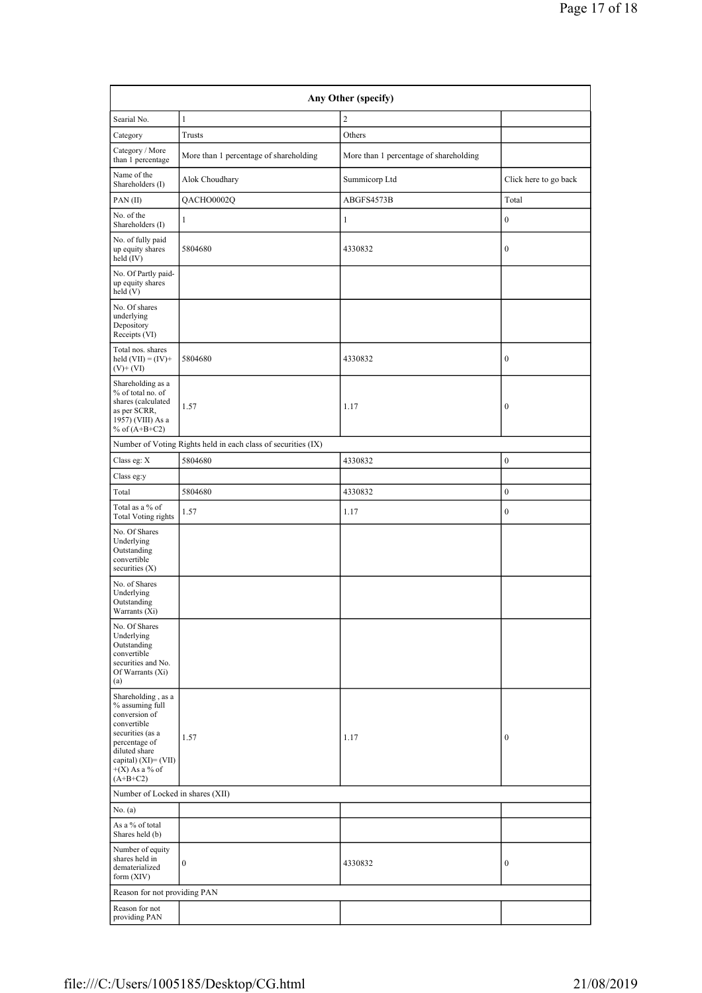| Any Other (specify)                                                                                                                                                                      |                                                               |                                        |                       |  |  |
|------------------------------------------------------------------------------------------------------------------------------------------------------------------------------------------|---------------------------------------------------------------|----------------------------------------|-----------------------|--|--|
| Searial No.                                                                                                                                                                              | $\mathbf{1}$                                                  | $\overline{c}$                         |                       |  |  |
| Category                                                                                                                                                                                 | Trusts                                                        | Others                                 |                       |  |  |
| Category / More<br>than 1 percentage                                                                                                                                                     | More than 1 percentage of shareholding                        | More than 1 percentage of shareholding |                       |  |  |
| Name of the<br>Shareholders (I)                                                                                                                                                          | Alok Choudhary                                                | Summicorp Ltd                          | Click here to go back |  |  |
| PAN(II)                                                                                                                                                                                  | QACHO0002Q                                                    | ABGFS4573B                             | Total                 |  |  |
| No. of the<br>Shareholders (I)                                                                                                                                                           | 1                                                             | $\mathbf{1}$                           | $\boldsymbol{0}$      |  |  |
| No. of fully paid<br>up equity shares<br>held (IV)                                                                                                                                       | 5804680                                                       | 4330832                                | $\boldsymbol{0}$      |  |  |
| No. Of Partly paid-<br>up equity shares<br>held (V)                                                                                                                                      |                                                               |                                        |                       |  |  |
| No. Of shares<br>underlying<br>Depository<br>Receipts (VI)                                                                                                                               |                                                               |                                        |                       |  |  |
| Total nos. shares<br>held $(VII) = (IV) +$<br>$(V)$ + $(VI)$                                                                                                                             | 5804680                                                       | 4330832                                | $\mathbf{0}$          |  |  |
| Shareholding as a<br>% of total no. of<br>shares (calculated<br>as per SCRR,<br>1957) (VIII) As a<br>% of $(A+B+C2)$                                                                     | 1.57                                                          | 1.17                                   | $\boldsymbol{0}$      |  |  |
|                                                                                                                                                                                          | Number of Voting Rights held in each class of securities (IX) |                                        |                       |  |  |
| Class eg: $\mathbf X$                                                                                                                                                                    | 5804680                                                       | 4330832                                | $\boldsymbol{0}$      |  |  |
| Class eg:y                                                                                                                                                                               |                                                               |                                        |                       |  |  |
| Total                                                                                                                                                                                    | 5804680                                                       | 4330832                                | $\bf{0}$              |  |  |
| Total as a % of<br><b>Total Voting rights</b>                                                                                                                                            | 1.57                                                          | 1.17                                   | $\boldsymbol{0}$      |  |  |
| No. Of Shares<br>Underlying<br>Outstanding<br>convertible<br>securities $(X)$                                                                                                            |                                                               |                                        |                       |  |  |
| No. of Shares<br>Underlying<br>Outstanding<br>Warrants (Xi)                                                                                                                              |                                                               |                                        |                       |  |  |
| No. Of Shares<br>Underlying<br>Outstanding<br>convertible<br>securities and No.<br>Of Warrants (Xi)<br>(a)                                                                               |                                                               |                                        |                       |  |  |
| Shareholding, as a<br>% assuming full<br>conversion of<br>convertible<br>securities (as a<br>percentage of<br>diluted share<br>capital) $(XI) = (VII)$<br>$+(X)$ As a % of<br>$(A+B+C2)$ | 1.57                                                          | 1.17                                   | $\boldsymbol{0}$      |  |  |
| Number of Locked in shares (XII)                                                                                                                                                         |                                                               |                                        |                       |  |  |
| No. $(a)$                                                                                                                                                                                |                                                               |                                        |                       |  |  |
| As a % of total<br>Shares held (b)                                                                                                                                                       |                                                               |                                        |                       |  |  |
| Number of equity<br>shares held in<br>dematerialized<br>form (XIV)                                                                                                                       | $\boldsymbol{0}$                                              | 4330832                                | $\boldsymbol{0}$      |  |  |
| Reason for not providing PAN                                                                                                                                                             |                                                               |                                        |                       |  |  |
| Reason for not<br>providing PAN                                                                                                                                                          |                                                               |                                        |                       |  |  |